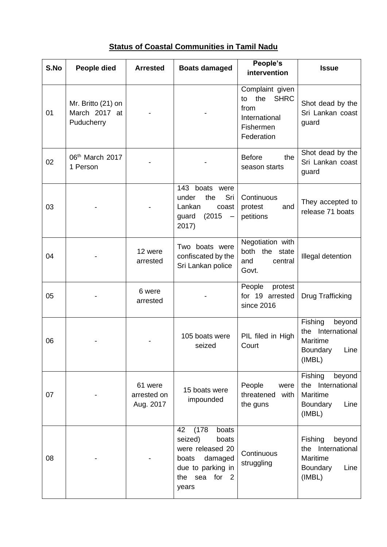|  |  |  | <b>Status of Coastal Communities in Tamil Nadu</b> |  |  |  |
|--|--|--|----------------------------------------------------|--|--|--|
|--|--|--|----------------------------------------------------|--|--|--|

| S.No | People died                                       | <b>Arrested</b>                     | <b>Boats damaged</b>                                                                                                            | People's<br>intervention                                                                        | <b>Issue</b>                                                                        |
|------|---------------------------------------------------|-------------------------------------|---------------------------------------------------------------------------------------------------------------------------------|-------------------------------------------------------------------------------------------------|-------------------------------------------------------------------------------------|
| 01   | Mr. Britto (21) on<br>March 2017 at<br>Puducherry |                                     |                                                                                                                                 | Complaint given<br><b>SHRC</b><br>the<br>to<br>from<br>International<br>Fishermen<br>Federation | Shot dead by the<br>Sri Lankan coast<br>guard                                       |
| 02   | 06th March 2017<br>1 Person                       |                                     |                                                                                                                                 | the<br><b>Before</b><br>season starts                                                           | Shot dead by the<br>Sri Lankan coast<br>guard                                       |
| 03   |                                                   |                                     | 143<br>boats were<br>Sri<br>the<br>under<br>Lankan<br>coast<br>(2015)<br>guard<br>$\overline{\phantom{a}}$<br>2017)             | Continuous<br>protest<br>and<br>petitions                                                       | They accepted to<br>release 71 boats                                                |
| 04   |                                                   | 12 were<br>arrested                 | Two boats were<br>confiscated by the<br>Sri Lankan police                                                                       | Negotiation with<br>both the state<br>and<br>central<br>Govt.                                   | Illegal detention                                                                   |
| 05   |                                                   | 6 were<br>arrested                  |                                                                                                                                 | People<br>protest<br>for 19 arrested<br>since 2016                                              | Drug Trafficking                                                                    |
| 06   |                                                   |                                     | 105 boats were<br>seized                                                                                                        | PIL filed in High<br>Court                                                                      | Fishing<br>beyond<br>International<br>the<br>Maritime<br>Boundary Line<br>(IMBL)    |
| 07   |                                                   | 61 were<br>arrested on<br>Aug. 2017 | 15 boats were<br>impounded                                                                                                      | People<br>were<br>threatened<br>with<br>the guns                                                | Fishing<br>beyond<br>the International<br>Maritime<br>Boundary<br>Line<br>(IMBL)    |
| 08   |                                                   |                                     | (178)<br>42<br>boats<br>seized)<br>boats<br>were released 20<br>damaged<br>boats<br>due to parking in<br>the sea for 2<br>years | Continuous<br>struggling                                                                        | Fishing<br>beyond<br>International<br>the<br>Maritime<br>Boundary<br>Line<br>(IMBL) |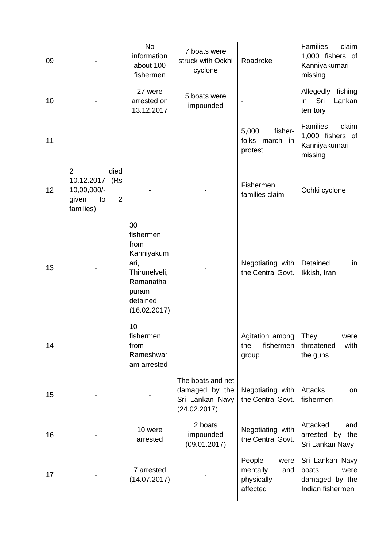| 09 |                                                                                                          | <b>No</b><br>information<br>about 100<br>fishermen                                                               | 7 boats were<br>struck with Ockhi<br>cyclone                           | Roadroke                                                    | <b>Families</b><br>claim<br>1,000 fishers of<br>Kanniyakumari<br>missing |
|----|----------------------------------------------------------------------------------------------------------|------------------------------------------------------------------------------------------------------------------|------------------------------------------------------------------------|-------------------------------------------------------------|--------------------------------------------------------------------------|
| 10 |                                                                                                          | 27 were<br>arrested on<br>13.12.2017                                                                             | 5 boats were<br>impounded                                              |                                                             | Allegedly<br>fishing<br>Sri<br>Lankan<br>in<br>territory                 |
| 11 |                                                                                                          |                                                                                                                  |                                                                        | fisher-<br>5,000<br>folks march in<br>protest               | <b>Families</b><br>claim<br>1,000 fishers of<br>Kanniyakumari<br>missing |
| 12 | died<br>$\overline{2}$<br>10.12.2017<br>(Rs<br>10,00,000/-<br>given<br>$\overline{2}$<br>to<br>families) |                                                                                                                  |                                                                        | Fishermen<br>families claim                                 | Ochki cyclone                                                            |
| 13 |                                                                                                          | 30<br>fishermen<br>from<br>Kanniyakum<br>ari,<br>Thirunelveli,<br>Ramanatha<br>puram<br>detained<br>(16.02.2017) |                                                                        | Negotiating with<br>the Central Govt.                       | Detained<br>in<br>Ikkish, Iran                                           |
| 14 |                                                                                                          | 10<br>fishermen<br>from<br>Rameshwar<br>am arrested                                                              |                                                                        | Agitation among<br>fishermen<br>the<br>group                | They<br>were<br>threatened<br>with<br>the guns                           |
| 15 |                                                                                                          |                                                                                                                  | The boats and net<br>damaged by the<br>Sri Lankan Navy<br>(24.02.2017) | Negotiating with<br>the Central Govt.                       | <b>Attacks</b><br>on<br>fishermen                                        |
| 16 |                                                                                                          | 10 were<br>arrested                                                                                              | 2 boats<br>impounded<br>(09.01.2017)                                   | Negotiating with<br>the Central Govt.                       | Attacked<br>and<br>arrested by the<br>Sri Lankan Navy                    |
| 17 |                                                                                                          | 7 arrested<br>(14.07.2017)                                                                                       |                                                                        | People<br>were<br>mentally<br>and<br>physically<br>affected | Sri Lankan Navy<br>boats<br>were<br>damaged by the<br>Indian fishermen   |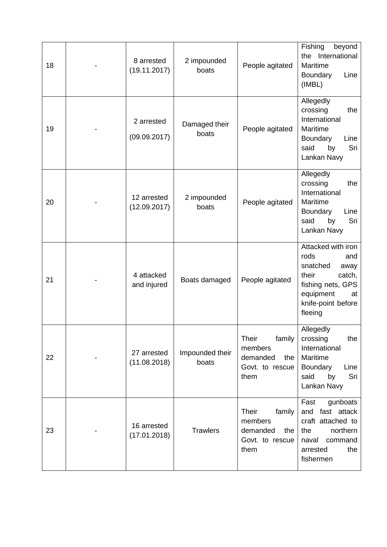| 18 | 8 arrested<br>(19.11.2017)  | 2 impounded<br>boats     | People agitated                                                          | Fishing<br>beyond<br>International<br>the<br>Maritime<br>Boundary<br>Line<br>(IMBL)                                                               |
|----|-----------------------------|--------------------------|--------------------------------------------------------------------------|---------------------------------------------------------------------------------------------------------------------------------------------------|
| 19 | 2 arrested<br>(09.09.2017)  | Damaged their<br>boats   | People agitated                                                          | Allegedly<br>crossing<br>the<br>International<br>Maritime<br>Boundary<br>Line<br>Sri<br>said<br>by<br>Lankan Navy                                 |
| 20 | 12 arrested<br>(12.09.2017) | 2 impounded<br>boats     | People agitated                                                          | Allegedly<br>crossing<br>the<br>International<br>Maritime<br>Boundary<br>Line<br>Sri<br>said<br>by<br>Lankan Navy                                 |
| 21 | 4 attacked<br>and injured   | Boats damaged            | People agitated                                                          | Attacked with iron<br>rods<br>and<br>snatched<br>away<br>their<br>catch,<br>fishing nets, GPS<br>equipment<br>at<br>knife-point before<br>fleeing |
| 22 | 27 arrested<br>(11.08.2018) | Impounded their<br>boats | Their<br>family<br>members<br>demanded<br>the<br>Govt. to rescue<br>them | Allegedly<br>crossing<br>the<br>International<br>Maritime<br>Boundary<br>Line<br>Sri<br>said<br>by<br>Lankan Navy                                 |
| 23 | 16 arrested<br>(17.01.2018) | <b>Trawlers</b>          | Their<br>family<br>members<br>demanded<br>the<br>Govt. to rescue<br>them | Fast<br>gunboats<br>and fast attack<br>craft attached to<br>the<br>northern<br>naval<br>command<br>arrested<br>the<br>fishermen                   |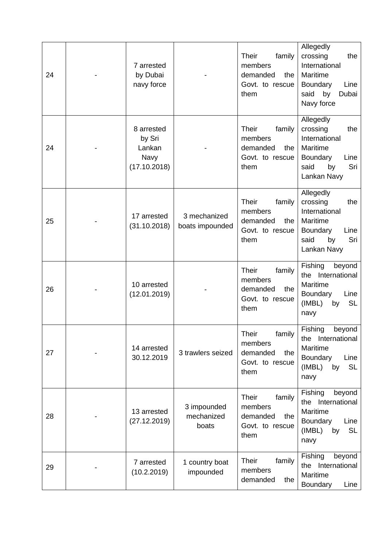| 24 | 7 arrested<br>by Dubai<br>navy force                   |                                    | Their<br>family<br>members<br>demanded<br>the<br>Govt. to rescue<br>them        | Allegedly<br>crossing<br>the<br>International<br>Maritime<br>Line<br>Boundary<br>by<br>said<br>Dubai<br>Navy force |
|----|--------------------------------------------------------|------------------------------------|---------------------------------------------------------------------------------|--------------------------------------------------------------------------------------------------------------------|
| 24 | 8 arrested<br>by Sri<br>Lankan<br>Navy<br>(17.10.2018) |                                    | <b>Their</b><br>family<br>members<br>demanded<br>the<br>Govt. to rescue<br>them | Allegedly<br>crossing<br>the<br>International<br>Maritime<br>Boundary<br>Line<br>Sri<br>by<br>said<br>Lankan Navy  |
| 25 | 17 arrested<br>(31.10.2018)                            | 3 mechanized<br>boats impounded    | <b>Their</b><br>family<br>members<br>demanded<br>the<br>Govt. to rescue<br>them | Allegedly<br>crossing<br>the<br>International<br>Maritime<br>Boundary<br>Line<br>Sri<br>said<br>by<br>Lankan Navy  |
| 26 | 10 arrested<br>(12.01.2019)                            |                                    | family<br><b>Their</b><br>members<br>demanded<br>the<br>Govt. to rescue<br>them | Fishing<br>beyond<br>International<br>the<br>Maritime<br>Boundary<br>Line<br>(IMBL)<br><b>SL</b><br>by<br>navy     |
| 27 | 14 arrested<br>30.12.2019                              | 3 trawlers seized                  | Their<br>family<br>members<br>demanded<br>the<br>Govt. to rescue<br>them        | Fishing<br>beyond<br>International<br>the<br>Maritime<br>Boundary<br>Line<br><b>SL</b><br>(IMBL)<br>by<br>navy     |
| 28 | 13 arrested<br>(27.12.2019)                            | 3 impounded<br>mechanized<br>boats | <b>Their</b><br>family<br>members<br>demanded<br>the<br>Govt. to rescue<br>them | Fishing<br>beyond<br>the International<br>Maritime<br>Boundary<br>Line<br><b>SL</b><br>(IMBL)<br>by<br>navy        |
| 29 | 7 arrested<br>(10.2.2019)                              | 1 country boat<br>impounded        | <b>Their</b><br>family<br>members<br>demanded<br>the                            | Fishing<br>beyond<br>the International<br>Maritime<br>Boundary<br>Line                                             |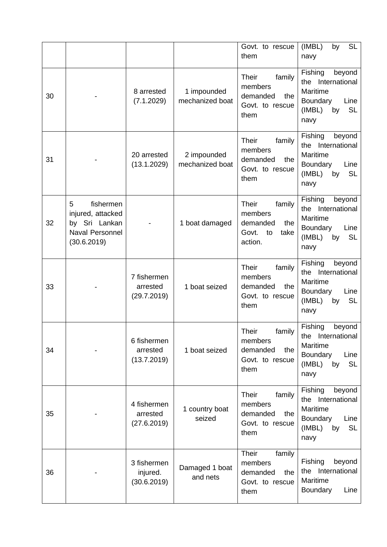|    |                                                                                               |                                        |                                | Govt. to rescue<br>them                                                                | (IMBL)<br>SL<br>by<br>navy                                                                                     |
|----|-----------------------------------------------------------------------------------------------|----------------------------------------|--------------------------------|----------------------------------------------------------------------------------------|----------------------------------------------------------------------------------------------------------------|
| 30 |                                                                                               | 8 arrested<br>(7.1.2029)               | 1 impounded<br>mechanized boat | <b>Their</b><br>family<br>members<br>demanded<br>the<br>Govt. to rescue<br>them        | Fishing<br>beyond<br>International<br>the<br>Maritime<br>Boundary<br>Line<br>(IMBL)<br><b>SL</b><br>by<br>navy |
| 31 |                                                                                               | 20 arrested<br>(13.1.2029)             | 2 impounded<br>mechanized boat | <b>Their</b><br>family<br>members<br>demanded<br>the<br>Govt. to rescue<br>them        | Fishing<br>beyond<br>International<br>the<br>Maritime<br>Boundary<br>Line<br>(IMBL)<br><b>SL</b><br>by<br>navy |
| 32 | 5<br>fishermen<br>injured, attacked<br>by Sri Lankan<br><b>Naval Personnel</b><br>(30.6.2019) |                                        | 1 boat damaged                 | <b>Their</b><br>family<br>members<br>demanded<br>the<br>Govt.<br>to<br>take<br>action. | Fishing<br>beyond<br>the International<br>Maritime<br>Line<br>Boundary<br>(IMBL)<br><b>SL</b><br>by<br>navy    |
| 33 |                                                                                               | 7 fishermen<br>arrested<br>(29.7.2019) | 1 boat seized                  | <b>Their</b><br>family<br>members<br>demanded<br>the<br>Govt. to rescue<br>them        | Fishing<br>beyond<br>the International<br>Maritime<br>Boundary<br>Line<br><b>SL</b><br>(IMBL)<br>by<br>navy    |
| 34 |                                                                                               | 6 fishermen<br>arrested<br>(13.7.2019) | 1 boat seized                  | Their<br>family<br>members<br>demanded<br>the<br>Govt. to rescue<br>them               | Fishing<br>beyond<br>the International<br>Maritime<br>Boundary<br>Line<br>(IMBL)<br><b>SL</b><br>by<br>navy    |
| 35 |                                                                                               | 4 fishermen<br>arrested<br>(27.6.2019) | 1 country boat<br>seized       | family<br><b>Their</b><br>members<br>demanded<br>the<br>Govt. to rescue<br>them        | Fishing<br>beyond<br>the International<br>Maritime<br>Boundary<br>Line<br>(IMBL)<br><b>SL</b><br>by<br>navy    |
| 36 |                                                                                               | 3 fishermen<br>injured.<br>(30.6.2019) | Damaged 1 boat<br>and nets     | <b>Their</b><br>family<br>members<br>demanded<br>the<br>Govt. to rescue<br>them        | Fishing<br>beyond<br>the International<br>Maritime<br><b>Boundary</b><br>Line                                  |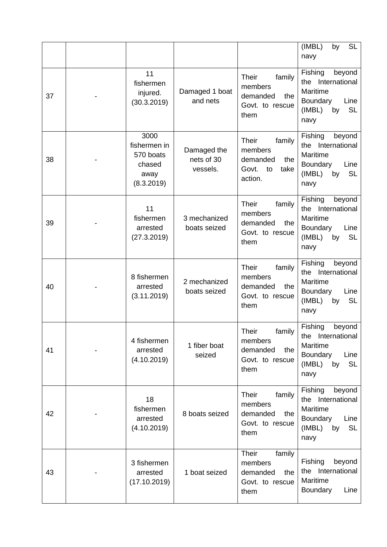|    |                                                                   |                                       |                                                                                        | (IMBL)<br><b>SL</b><br>by<br>navy                                                                                  |
|----|-------------------------------------------------------------------|---------------------------------------|----------------------------------------------------------------------------------------|--------------------------------------------------------------------------------------------------------------------|
| 37 | 11<br>fishermen<br>injured.<br>(30.3.2019)                        | Damaged 1 boat<br>and nets            | <b>Their</b><br>family<br>members<br>demanded<br>the<br>Govt. to rescue<br>them        | Fishing<br>beyond<br>International<br>the<br>Maritime<br>Boundary<br>Line<br>(IMBL)<br><b>SL</b><br>by<br>navy     |
| 38 | 3000<br>fishermen in<br>570 boats<br>chased<br>away<br>(8.3.2019) | Damaged the<br>nets of 30<br>vessels. | family<br><b>Their</b><br>members<br>demanded<br>the<br>Govt.<br>to<br>take<br>action. | Fishing<br>beyond<br>International<br>the<br>Maritime<br>Boundary<br>Line<br><b>SL</b><br>(IMBL)<br>by<br>navy     |
| 39 | 11<br>fishermen<br>arrested<br>(27.3.2019)                        | 3 mechanized<br>boats seized          | <b>Their</b><br>family<br>members<br>demanded<br>the<br>Govt. to rescue<br>them        | Fishing<br>beyond<br>the International<br>Maritime<br>Line<br><b>Boundary</b><br>(IMBL)<br><b>SL</b><br>by<br>navy |
| 40 | 8 fishermen<br>arrested<br>(3.11.2019)                            | 2 mechanized<br>boats seized          | <b>Their</b><br>family<br>members<br>demanded<br>the<br>Govt. to rescue<br>them        | beyond<br>Fishing<br>the International<br>Maritime<br>Line<br>Boundary<br>(IMBL)<br><b>SL</b><br>by<br>navy        |
| 41 | 4 fishermen<br>arrested<br>(4.10.2019)                            | 1 fiber boat<br>seized                | Their<br>family<br>members<br>demanded<br>the<br>Govt. to rescue<br>them               | Fishing<br>beyond<br>International<br>the<br>Maritime<br>Boundary<br>Line<br>(IMBL)<br><b>SL</b><br>by<br>navy     |
| 42 | 18<br>fishermen<br>arrested<br>(4.10.2019)                        | 8 boats seized                        | family<br><b>Their</b><br>members<br>demanded<br>the<br>Govt. to rescue<br>them        | Fishing<br>beyond<br>the International<br>Maritime<br>Boundary<br>Line<br>(IMBL)<br><b>SL</b><br>by<br>navy        |
| 43 | 3 fishermen<br>arrested<br>(17.10.2019)                           | 1 boat seized                         | <b>Their</b><br>family<br>members<br>demanded<br>the<br>Govt. to rescue<br>them        | Fishing<br>beyond<br>the International<br>Maritime<br><b>Boundary</b><br>Line                                      |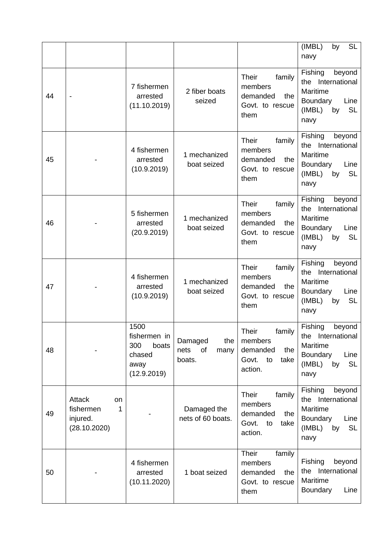|    |                                                            |                                                                       |                                                |                                                                                        | (IMBL)<br><b>SL</b><br>by<br>navy                                                                              |
|----|------------------------------------------------------------|-----------------------------------------------------------------------|------------------------------------------------|----------------------------------------------------------------------------------------|----------------------------------------------------------------------------------------------------------------|
| 44 | $\overline{\phantom{a}}$                                   | 7 fishermen<br>arrested<br>(11.10.2019)                               | 2 fiber boats<br>seized                        | <b>Their</b><br>family<br>members<br>demanded<br>the<br>Govt. to rescue<br>them        | Fishing<br>beyond<br>International<br>the<br>Maritime<br>Boundary<br>Line<br>(IMBL)<br><b>SL</b><br>by<br>navy |
| 45 |                                                            | 4 fishermen<br>arrested<br>(10.9.2019)                                | 1 mechanized<br>boat seized                    | <b>Their</b><br>family<br>members<br>demanded<br>the<br>Govt. to rescue<br>them        | Fishing<br>beyond<br>the International<br>Maritime<br>Boundary<br>Line<br>(IMBL)<br><b>SL</b><br>by<br>navy    |
| 46 |                                                            | 5 fishermen<br>arrested<br>(20.9.2019)                                | 1 mechanized<br>boat seized                    | <b>Their</b><br>family<br>members<br>demanded<br>the<br>Govt. to rescue<br>them        | Fishing<br>beyond<br>the International<br>Maritime<br>Line<br>Boundary<br>(IMBL)<br><b>SL</b><br>by<br>navy    |
| 47 |                                                            | 4 fishermen<br>arrested<br>(10.9.2019)                                | 1 mechanized<br>boat seized                    | <b>Their</b><br>family<br>members<br>demanded<br>the<br>Govt. to rescue<br>them        | Fishing<br>beyond<br>the International<br>Maritime<br>Boundary<br>Line<br><b>SL</b><br>(IMBL)<br>by<br>navy    |
| 48 |                                                            | 1500<br>fishermen in<br>300<br>boats<br>chased<br>away<br>(12.9.2019) | Damaged<br>the<br>nets<br>of<br>many<br>boats. | Their<br>family<br>members<br>demanded<br>the<br>Govt.<br>to<br>take<br>action.        | Fishing<br>beyond<br>the International<br>Maritime<br>Boundary<br>Line<br>(IMBL)<br><b>SL</b><br>by<br>navy    |
| 49 | Attack<br>on<br>fishermen<br>1<br>injured.<br>(28.10.2020) |                                                                       | Damaged the<br>nets of 60 boats.               | family<br><b>Their</b><br>members<br>demanded<br>the<br>to<br>Govt.<br>take<br>action. | Fishing<br>beyond<br>the International<br>Maritime<br>Boundary<br>Line<br>(IMBL)<br><b>SL</b><br>by<br>navy    |
| 50 |                                                            | 4 fishermen<br>arrested<br>(10.11.2020)                               | 1 boat seized                                  | Their<br>family<br>members<br>demanded<br>the<br>Govt. to rescue<br>them               | Fishing<br>beyond<br>the International<br>Maritime<br>Boundary<br>Line                                         |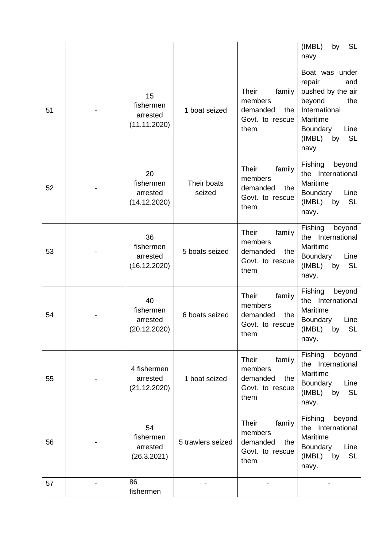|    |                                             |                       |                                                                                 | (IMBL)<br><b>SL</b><br>by<br>navy                                                                                                                           |
|----|---------------------------------------------|-----------------------|---------------------------------------------------------------------------------|-------------------------------------------------------------------------------------------------------------------------------------------------------------|
| 51 | 15<br>fishermen<br>arrested<br>(11.11.2020) | 1 boat seized         | <b>Their</b><br>family<br>members<br>demanded<br>the<br>Govt. to rescue<br>them | Boat was under<br>repair<br>and<br>pushed by the air<br>beyond<br>the<br>International<br>Maritime<br>Boundary<br>Line<br>(IMBL)<br><b>SL</b><br>by<br>navy |
| 52 | 20<br>fishermen<br>arrested<br>(14.12.2020) | Their boats<br>seized | <b>Their</b><br>family<br>members<br>demanded<br>the<br>Govt. to rescue<br>them | Fishing<br>beyond<br>the International<br>Maritime<br>Boundary<br>Line<br>(IMBL)<br><b>SL</b><br>by<br>navy.                                                |
| 53 | 36<br>fishermen<br>arrested<br>(16.12.2020) | 5 boats seized        | family<br><b>Their</b><br>members<br>demanded<br>the<br>Govt. to rescue<br>them | Fishing<br>beyond<br>the International<br>Maritime<br>Boundary<br>Line<br>(IMBL)<br><b>SL</b><br>by<br>navy.                                                |
| 54 | 40<br>fishermen<br>arrested<br>(20.12.2020) | 6 boats seized        | <b>Their</b><br>family<br>members<br>demanded<br>the<br>Govt. to rescue<br>them | Fishing<br>beyond<br>the International<br>Maritime<br>Boundary<br>Line<br>(IMBL)<br><b>SL</b><br>by<br>navy.                                                |
| 55 | 4 fishermen<br>arrested<br>(21.12.2020)     | 1 boat seized         | family<br><b>Their</b><br>members<br>demanded<br>the<br>Govt. to rescue<br>them | Fishing<br>beyond<br>the International<br>Maritime<br>Boundary<br>Line<br>(IMBL)<br>by<br><b>SL</b><br>navy.                                                |
| 56 | 54<br>fishermen<br>arrested<br>(26.3.2021)  | 5 trawlers seized     | <b>Their</b><br>family<br>members<br>demanded<br>the<br>Govt. to rescue<br>them | beyond<br>Fishing<br>the International<br>Maritime<br>Boundary<br>Line<br>(IMBL)<br>by<br><b>SL</b><br>navy.                                                |
| 57 | 86<br>fishermen                             |                       |                                                                                 |                                                                                                                                                             |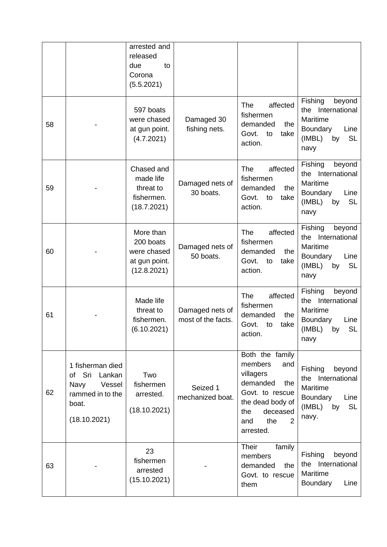|    |                                                                                                     | arrested and<br>released<br>due<br>to<br>Corona<br>(5.5.2021)         |                                       |                                                                                                                                                             |                                                                                                                |
|----|-----------------------------------------------------------------------------------------------------|-----------------------------------------------------------------------|---------------------------------------|-------------------------------------------------------------------------------------------------------------------------------------------------------------|----------------------------------------------------------------------------------------------------------------|
| 58 |                                                                                                     | 597 boats<br>were chased<br>at gun point.<br>(4.7.2021)               | Damaged 30<br>fishing nets.           | affected<br><b>The</b><br>fishermen<br>demanded<br>the<br>Govt.<br>to<br>take<br>action.                                                                    | Fishing<br>beyond<br>the International<br>Maritime<br>Boundary<br>Line<br><b>SL</b><br>(IMBL)<br>by<br>navy    |
| 59 |                                                                                                     | Chased and<br>made life<br>threat to<br>fishermen.<br>(18.7.2021)     | Damaged nets of<br>30 boats.          | The<br>affected<br>fishermen<br>demanded<br>the<br>Govt.<br>to<br>take<br>action.                                                                           | Fishing<br>beyond<br>International<br>the<br>Maritime<br>Boundary<br>Line<br>(IMBL)<br><b>SL</b><br>by<br>navy |
| 60 |                                                                                                     | More than<br>200 boats<br>were chased<br>at gun point.<br>(12.8.2021) | Damaged nets of<br>50 boats.          | The<br>affected<br>fishermen<br>demanded<br>the<br>Govt.<br>to<br>take<br>action.                                                                           | Fishing<br>beyond<br>International<br>the<br>Maritime<br>Boundary<br>Line<br>(IMBL)<br><b>SL</b><br>by<br>navy |
| 61 |                                                                                                     | Made life<br>threat to<br>fishermen.<br>(6.10.2021)                   | Damaged nets of<br>most of the facts. | affected<br><b>The</b><br>fishermen<br>demanded<br>the<br>Govt.<br>take<br>to<br>action.                                                                    | Fishing<br>beyond<br>International<br>the<br>Maritime<br>Boundary<br>Line<br>(IMBL)<br>SL<br>by<br>navy        |
| 62 | 1 fisherman died<br>of Sri<br>Lankan<br>Navy<br>Vessel<br>rammed in to the<br>boat.<br>(18.10.2021) | Two<br>fishermen<br>arrested.<br>(18.10.2021)                         | Seized 1<br>mechanized boat.          | Both the family<br>members<br>and<br>villagers<br>demanded<br>the<br>Govt. to rescue<br>the dead body of<br>deceased<br>the<br>the<br>2<br>and<br>arrested. | Fishing<br>beyond<br>the International<br>Maritime<br>Boundary<br>Line<br><b>SL</b><br>(IMBL)<br>by<br>navy.   |
| 63 |                                                                                                     | 23<br>fishermen<br>arrested<br>(15.10.2021)                           |                                       | <b>Their</b><br>family<br>members<br>demanded<br>the<br>Govt. to rescue<br>them                                                                             | Fishing<br>beyond<br>the International<br>Maritime<br>Boundary<br>Line                                         |